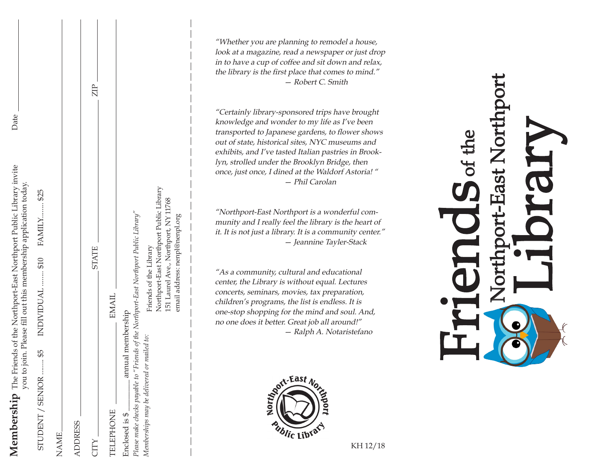**Membership** The Friends of the Northport-East Northport Public Library invite Date Membership The Friends of the Northport-East Northport Public Library invite you to join. Please fill out this membership application today. you to join. Please fill out this membership application today.

Date

STUDENT / SENIOR ........ \$5 INDIVIDUAL ........ \$10 FAMILY........ \$25

\$5

STUDENT / SENIOR

**INDIVIDUAL** 

FAMILY....... \$25

\$10

| <b>NAME</b>                                |                                                             |       |
|--------------------------------------------|-------------------------------------------------------------|-------|
| <b>ADDRESS</b>                             |                                                             |       |
| CITY                                       | <b>STATE</b>                                                | $\Xi$ |
| <b>TELEPHONE</b>                           | <b>EMAIL</b>                                                |       |
| Enclosed is \$                             | annual membership                                           |       |
| Please make checks payable t               | to "Friends of the Northport-East Northport Public Library" |       |
| Memberships may be delivered or mailed to: | Friends of the Library                                      |       |
|                                            | Northport-East Northport Public Library                     |       |
|                                            | 151 Laurel Ave., Northport, NY 11768                        |       |

email address: nenpl@nenpl.org

email address: nenpl@nenpl.org

"Whether you are planning to remodel a house, look at a magazine, read a newspaper or just drop in to have a cup of coffee and sit down and relax, the library is the first place that comes to mind." — Robert C. Smith

"Certainly library-sponsored trips have brought knowledge and wonder to my life as I've been transported to Japanese gardens, to flower shows out of state, historical sites, NYC museums and exhibits, and I've tasted Italian pastries in Brooklyn, strolled under the Brooklyn Bridge, then once, just once, I dined at the Waldorf Astoria! " — Phil Carolan

"Northport-East Northport is a wonderful community and I really feel the library is the heart of it. It is not just a library. It is a community center." — Jeannine Tayler-Stack

"As a community, cultural and educational center, the Library is without equal. Lectures concerts, seminars, movies, tax preparation, children's programs, the list is endless. It is one-stop shopping for the mind and soul. And, no one does it better. Great job all around!" — Ralph A. Notaristefano